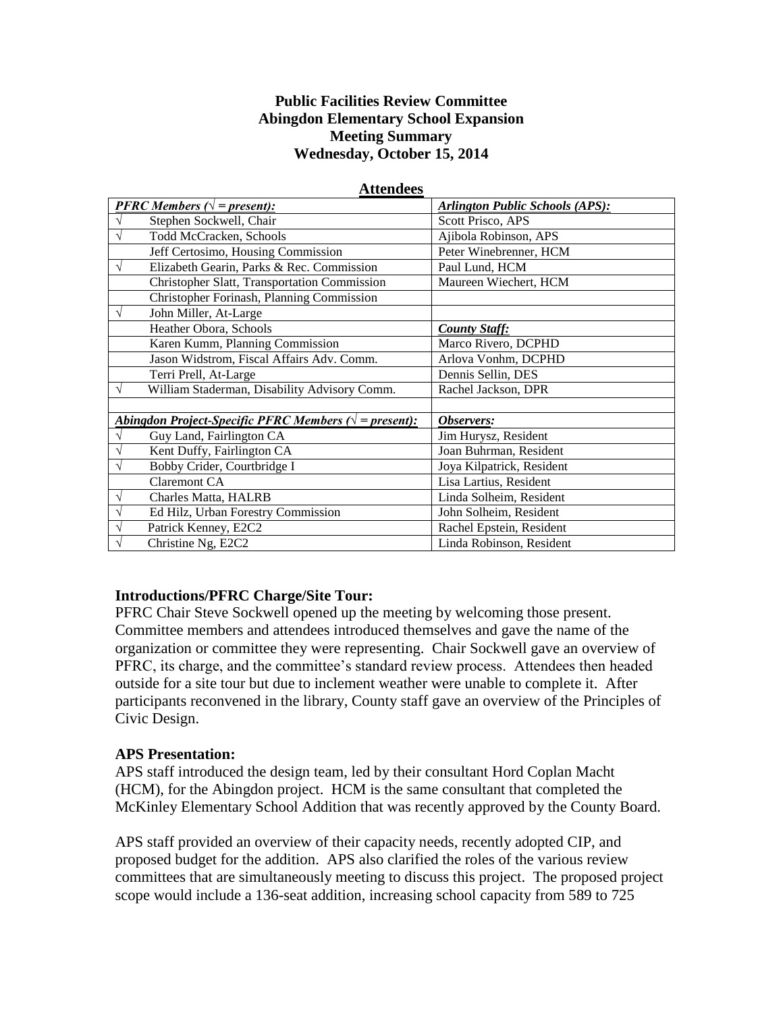#### **Public Facilities Review Committee Abingdon Elementary School Expansion Meeting Summary Wednesday, October 15, 2014**

|                                                                 | <b>PFRC</b> Members $(\sqrt{ } = present)$ :        | <b>Arlington Public Schools (APS):</b> |
|-----------------------------------------------------------------|-----------------------------------------------------|----------------------------------------|
|                                                                 | Stephen Sockwell, Chair                             | Scott Prisco, APS                      |
|                                                                 | Todd McCracken, Schools                             | Ajibola Robinson, APS                  |
|                                                                 | Jeff Certosimo, Housing Commission                  | Peter Winebrenner, HCM                 |
| V                                                               | Elizabeth Gearin, Parks & Rec. Commission           | Paul Lund, HCM                         |
|                                                                 | <b>Christopher Slatt, Transportation Commission</b> | Maureen Wiechert, HCM                  |
|                                                                 | Christopher Forinash, Planning Commission           |                                        |
|                                                                 | John Miller, At-Large                               |                                        |
|                                                                 | Heather Obora, Schools                              | <b>County Staff:</b>                   |
|                                                                 | Karen Kumm, Planning Commission                     | Marco Rivero, DCPHD                    |
|                                                                 | Jason Widstrom, Fiscal Affairs Adv. Comm.           | Arlova Vonhm, DCPHD                    |
|                                                                 | Terri Prell, At-Large                               | Dennis Sellin, DES                     |
|                                                                 | William Staderman, Disability Advisory Comm.        | Rachel Jackson, DPR                    |
|                                                                 |                                                     |                                        |
| Abingdon Project-Specific PFRC Members $(\sqrt{ } = present)$ : |                                                     | Observers:                             |
|                                                                 | Guy Land, Fairlington CA                            | Jim Hurysz, Resident                   |
| V                                                               | Kent Duffy, Fairlington CA                          | Joan Buhrman, Resident                 |
| V                                                               | Bobby Crider, Courtbridge I                         | Joya Kilpatrick, Resident              |
|                                                                 | <b>Claremont CA</b>                                 | Lisa Lartius, Resident                 |
| V                                                               | Charles Matta, HALRB                                | Linda Solheim, Resident                |
|                                                                 | Ed Hilz, Urban Forestry Commission                  | John Solheim, Resident                 |
| V                                                               | Patrick Kenney, E2C2                                | Rachel Epstein, Resident               |
| $\sqrt{}$                                                       | Christine Ng, E2C2                                  | Linda Robinson, Resident               |

#### **Attendees**

#### **Introductions/PFRC Charge/Site Tour:**

PFRC Chair Steve Sockwell opened up the meeting by welcoming those present. Committee members and attendees introduced themselves and gave the name of the organization or committee they were representing. Chair Sockwell gave an overview of PFRC, its charge, and the committee's standard review process. Attendees then headed outside for a site tour but due to inclement weather were unable to complete it. After participants reconvened in the library, County staff gave an overview of the Principles of Civic Design.

#### **APS Presentation:**

APS staff introduced the design team, led by their consultant Hord Coplan Macht (HCM), for the Abingdon project. HCM is the same consultant that completed the McKinley Elementary School Addition that was recently approved by the County Board.

APS staff provided an overview of their capacity needs, recently adopted CIP, and proposed budget for the addition. APS also clarified the roles of the various review committees that are simultaneously meeting to discuss this project. The proposed project scope would include a 136-seat addition, increasing school capacity from 589 to 725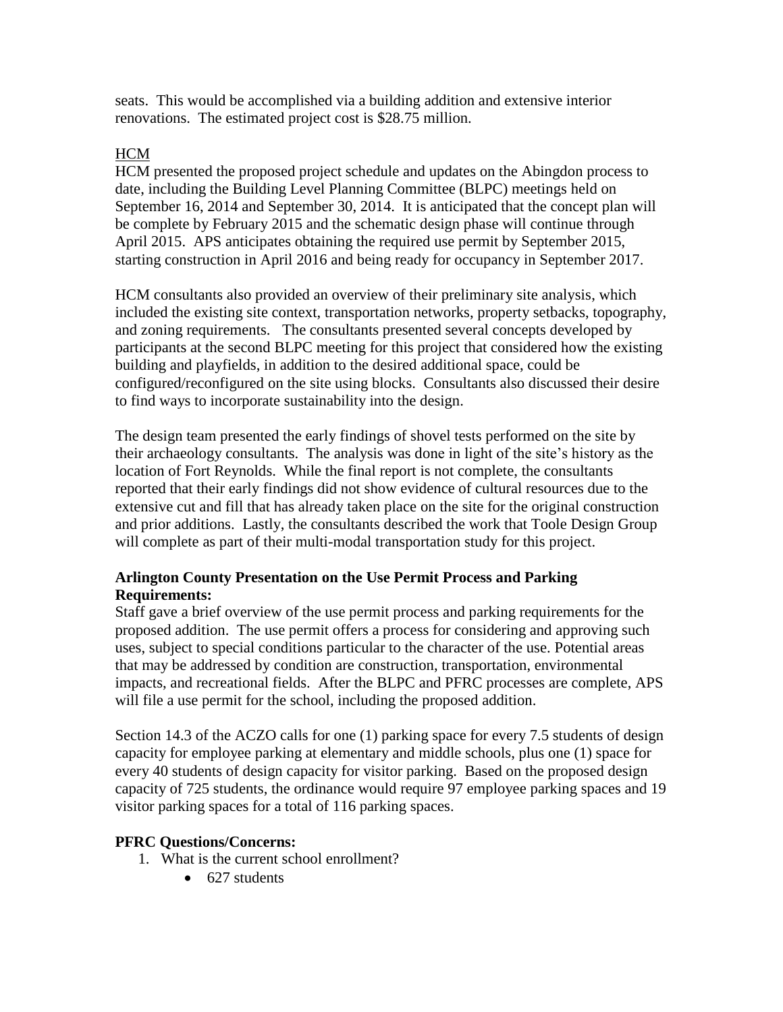seats. This would be accomplished via a building addition and extensive interior renovations. The estimated project cost is \$28.75 million.

# **HCM**

HCM presented the proposed project schedule and updates on the Abingdon process to date, including the Building Level Planning Committee (BLPC) meetings held on September 16, 2014 and September 30, 2014. It is anticipated that the concept plan will be complete by February 2015 and the schematic design phase will continue through April 2015. APS anticipates obtaining the required use permit by September 2015, starting construction in April 2016 and being ready for occupancy in September 2017.

HCM consultants also provided an overview of their preliminary site analysis, which included the existing site context, transportation networks, property setbacks, topography, and zoning requirements. The consultants presented several concepts developed by participants at the second BLPC meeting for this project that considered how the existing building and playfields, in addition to the desired additional space, could be configured/reconfigured on the site using blocks. Consultants also discussed their desire to find ways to incorporate sustainability into the design.

The design team presented the early findings of shovel tests performed on the site by their archaeology consultants. The analysis was done in light of the site's history as the location of Fort Reynolds. While the final report is not complete, the consultants reported that their early findings did not show evidence of cultural resources due to the extensive cut and fill that has already taken place on the site for the original construction and prior additions. Lastly, the consultants described the work that Toole Design Group will complete as part of their multi-modal transportation study for this project.

## **Arlington County Presentation on the Use Permit Process and Parking Requirements:**

Staff gave a brief overview of the use permit process and parking requirements for the proposed addition. The use permit offers a process for considering and approving such uses, subject to special conditions particular to the character of the use. Potential areas that may be addressed by condition are construction, transportation, environmental impacts, and recreational fields. After the BLPC and PFRC processes are complete, APS will file a use permit for the school, including the proposed addition.

Section 14.3 of the ACZO calls for one (1) parking space for every 7.5 students of design capacity for employee parking at elementary and middle schools, plus one (1) space for every 40 students of design capacity for visitor parking. Based on the proposed design capacity of 725 students, the ordinance would require 97 employee parking spaces and 19 visitor parking spaces for a total of 116 parking spaces.

## **PFRC Questions/Concerns:**

- 1. What is the current school enrollment?
	- $\bullet$  627 students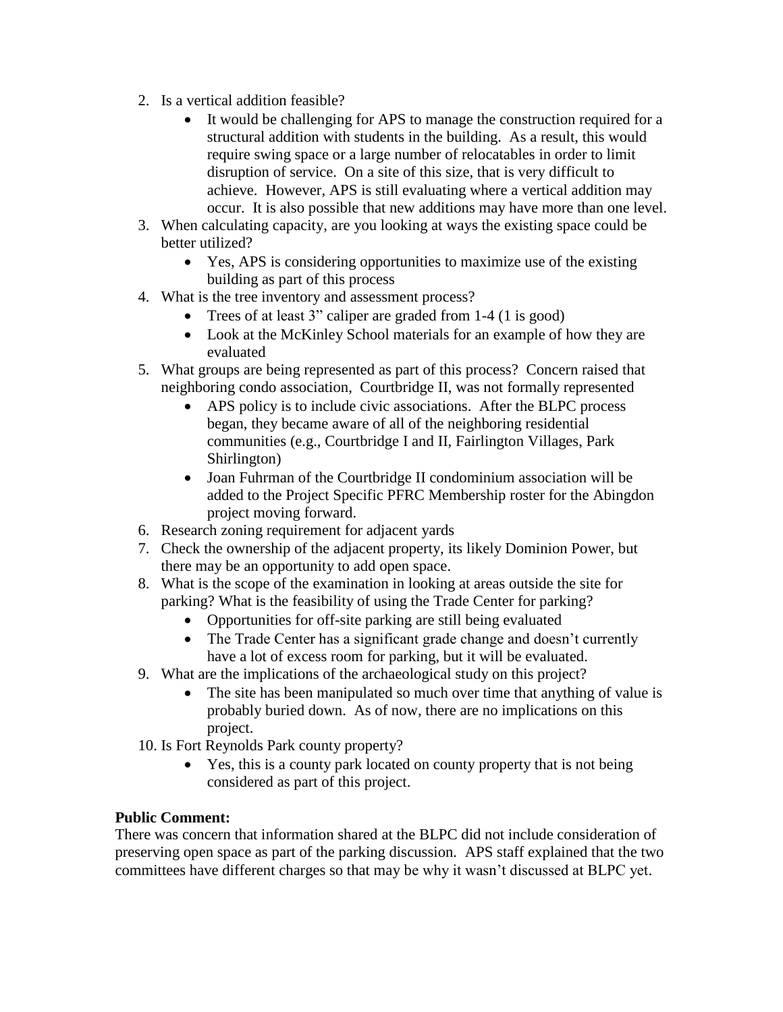- 2. Is a vertical addition feasible?
	- It would be challenging for APS to manage the construction required for a structural addition with students in the building. As a result, this would require swing space or a large number of relocatables in order to limit disruption of service. On a site of this size, that is very difficult to achieve. However, APS is still evaluating where a vertical addition may occur. It is also possible that new additions may have more than one level.
- 3. When calculating capacity, are you looking at ways the existing space could be better utilized?
	- Yes, APS is considering opportunities to maximize use of the existing building as part of this process
- 4. What is the tree inventory and assessment process?
	- Trees of at least 3" caliper are graded from 1-4 (1 is good)
	- Look at the McKinley School materials for an example of how they are evaluated
- 5. What groups are being represented as part of this process? Concern raised that neighboring condo association, Courtbridge II, was not formally represented
	- APS policy is to include civic associations. After the BLPC process began, they became aware of all of the neighboring residential communities (e.g., Courtbridge I and II, Fairlington Villages, Park Shirlington)
	- Joan Fuhrman of the Courtbridge II condominium association will be added to the Project Specific PFRC Membership roster for the Abingdon project moving forward.
- 6. Research zoning requirement for adjacent yards
- 7. Check the ownership of the adjacent property, its likely Dominion Power, but there may be an opportunity to add open space.
- 8. What is the scope of the examination in looking at areas outside the site for parking? What is the feasibility of using the Trade Center for parking?
	- Opportunities for off-site parking are still being evaluated
	- The Trade Center has a significant grade change and doesn't currently have a lot of excess room for parking, but it will be evaluated.
- 9. What are the implications of the archaeological study on this project?
	- The site has been manipulated so much over time that anything of value is probably buried down. As of now, there are no implications on this project.
- 10. Is Fort Reynolds Park county property?
	- Yes, this is a county park located on county property that is not being considered as part of this project.

## **Public Comment:**

There was concern that information shared at the BLPC did not include consideration of preserving open space as part of the parking discussion. APS staff explained that the two committees have different charges so that may be why it wasn't discussed at BLPC yet.